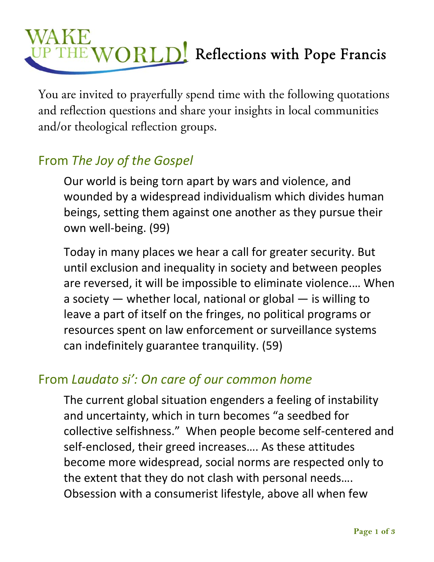# Reflections with Pope Francis

You are invited to prayerfully spend time with the following quotations and reflection questions and share your insights in local communities and/or theological reflection groups.

## From *The Joy of the Gospel*

Our world is being torn apart by wars and violence, and wounded by a widespread individualism which divides human beings, setting them against one another as they pursue their own well‐being. (99)

Today in many places we hear a call for greater security. But until exclusion and inequality in society and between peoples are reversed, it will be impossible to eliminate violence.… When a society — whether local, national or global — is willing to leave a part of itself on the fringes, no political programs or resources spent on law enforcement or surveillance systems can indefinitely guarantee tranquility. (59)

### From *Laudato si': On care of our common home*

The current global situation engenders a feeling of instability and uncertainty, which in turn becomes "a seedbed for collective selfishness." When people become self‐centered and self-enclosed, their greed increases.... As these attitudes become more widespread, social norms are respected only to the extent that they do not clash with personal needs…. Obsession with a consumerist lifestyle, above all when few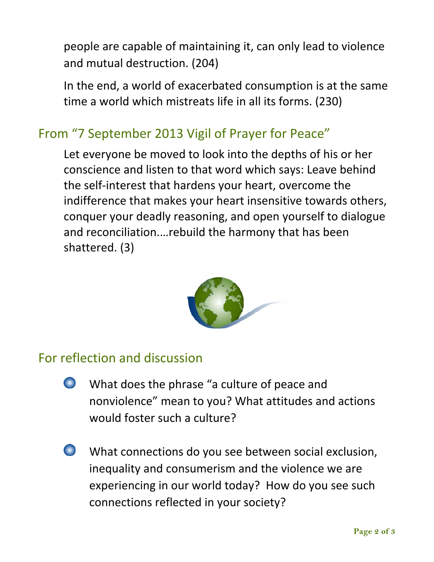people are capable of maintaining it, can only lead to violence and mutual destruction. (204)

In the end, a world of exacerbated consumption is at the same time a world which mistreats life in all its forms. (230)

### From "7 September 2013 Vigil of Prayer for Peace"

Let everyone be moved to look into the depths of his or her conscience and listen to that word which says: Leave behind the self‐interest that hardens your heart, overcome the indifference that makes your heart insensitive towards others, conquer your deadly reasoning, and open yourself to dialogue and reconciliation.…rebuild the harmony that has been shattered. (3)



#### For reflection and discussion

- $\bullet$ What does the phrase "a culture of peace and nonviolence" mean to you? What attitudes and actions would foster such a culture?
- $\Box$ What connections do you see between social exclusion, inequality and consumerism and the violence we are experiencing in our world today? How do you see such connections reflected in your society?